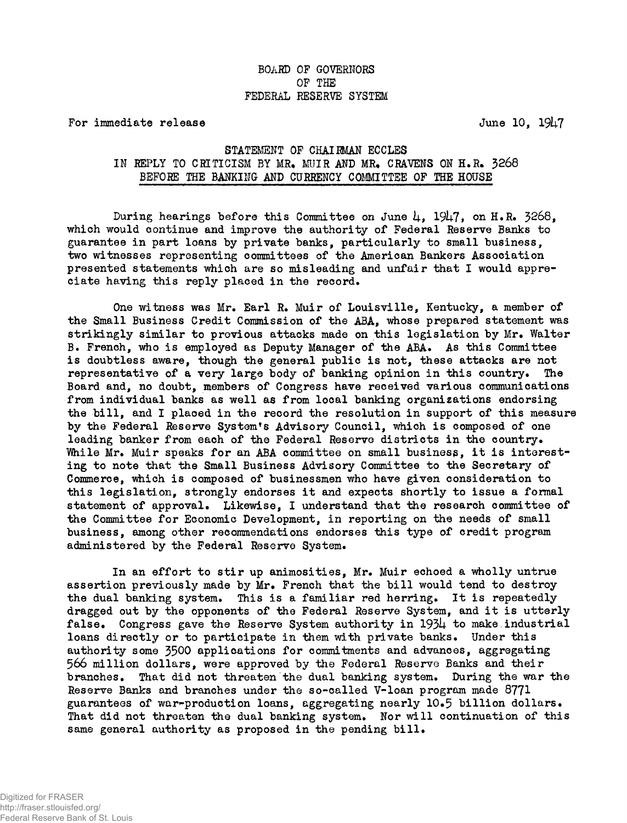## BOARD OP GOVERNORS OP THE FEDERAL RESERVE SYSTEM

For immediate release June 10, 1947

## STATEMENT OF CHAIRMAN ECCLES IN REPLY TO CRITICISM BY MR. MUIR AND MR. CRAVENS ON H.R. 3268 BEFORE THE BANKING AND CURRENCY COMMITTEE OF THE HOUSE

During hearings before this Committee on June 4, 1947, on H.R. 3268, which would continue and improve the authority of Federal Reserve Banks to guarantee in part loans by private banks, particularly to small business, two witnesses representing committees of the American Bankers Association presented statements which are so misleading and unfair that I would appreciate having this reply placed in the record.

One witness was Mr. Earl R. Muir of Louisville, Kentucky, a member of the Small Business Credit Commission of the ABA, whose prepared statement was strikingly similar to previous attacks made on this legislation by Mr. Walter B. French, who is employed as Deputy Manager of the ABA. As this Committee is doubtless aware, though the general public is not, these attacks are not representative of a very large body of banking opinion in this country. The Board and, no doubt, members of Congress have received various communications from individual banks as well as from local banking organizations endorsing the bill, and I placed in the record the resolution in support of this measure by the Federal Reserve System's Advisory Council, which is composed of one leading banker from each of the Federal Reserve districts in the country. While Mr. Muir speaks for an ABA committee on small business, it is interesting to note that the Small Business Advisory Committee to the Secretary of Commerce, which is composed of businessmen who have given consideration to this legislation, strongly endorses it and expects shortly to issue a formal statement of approval. Likewise, I understand that the research committee of the Committee for Economic Development, in reporting on the needs of small business, among other recommendations endorses this type of credit program administered by the Federal Reserve System.

In an effort to stir up animosities, Mr. Muir echoed a wholly untrue assertion previously made by Mr. French that the bill would tend to destroy the dual banking system. This is a familiar red herring. It is repeatedly dragged out by the opponents of the Federal Reserve System, and it is utterly false. Congress gave the Reserve System authority in 1934 to make industrial loans directly or to participate in them with private banks. Under this authority some 3500 applications for commitments and advances, aggregating 566 million dollars, were approved by the Federal Reserve Banks and their branches. That did not threaten the dual banking system. During the war the Reserve Banks and branches under the so-called V-loan program made 8771 guarantees of war-production loans, aggregating nearly 10.5 billion dollars. That did not threaten the dual banking system. Nor will continuation of this same general authority as proposed in the pending bill.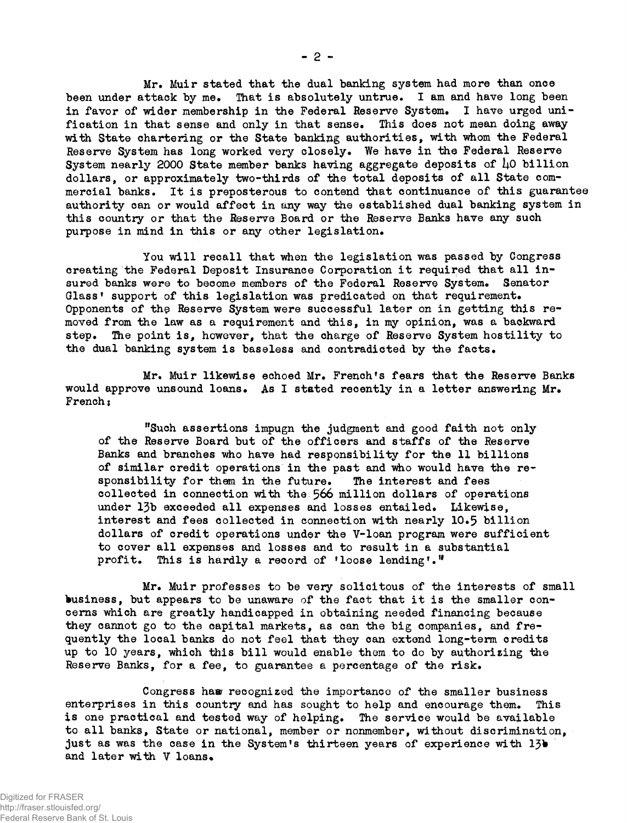Mr. Muir stated that the dual banking system had more than once been under attack by me. That is absolutely untrue. I am and have long been in favor of wider membership in the Federal Reserve System. I have urged unification in that sense and only in that sense. This does not mean doing away with State chartering or the State banking authorities, with whom the Federal Reserve System has long worked very closely. We have in the Federal Reserve System nearly 2000 State member banks having aggregate deposits of  $\mu$ 0 billion dollars, or approximately two-thirds of the total deposits of all State commercial banks. It is preposterous to contend that continuance of this guarantee authority can or would affect in any way the established dual banking system in this country or that the Reserve Board or the Reserve Banks have any such purpose in mind in this or any other legislation.

You will recall that when the legislation was passed by Congress creating the Federal Deposit Insurance Corporation it required that all insured banks were to become members of the Federal Reserve System. Senator Glass' support of this legislation was predicated on that requirement. Opponents of the Reserve System were successful later on in getting this removed from the law as a requirement and this, in my opinion, was a backward step. The point is, however, that the charge of Reserve System hostility to the dual banking system is baseless and contradicted by the facts.

Mr. Muir likewise echoed Mr. French's fears that the Reserve Banks would approve unsound loans. As I stated recently in a letter answering Mr. French;

"Such assertions impugn the judgment and good faith not only of the Reserve Board but of the officers and staffs of the Reserve Banks and branches who have had responsibility for the 11 billions of similar credit operations in the past and who would have the responsibility for them in the future. The interest and fees collected in connection with the 566 million dollars of operations under 13b exceeded all expenses and losses entailed. Likewise, interest and fees collected in connection with nearly 10.5 billion dollars of credit operations under the V-loan program were sufficient to cover all expenses and losses and to result in a substantial profit. This is hardly a record of 'loose lending'."

Mr. Muir professes to be very solicitous of the interests of small business, but appears to be unaware of the fact that it is the smaller concerns which are greatly handicapped in obtaining needed financing because they cannot go to the capital markets, as can the big companies, and frequently the local banks do not feel that they can extend long-term credits up to 10 years, which this bill would enable them to do by authorizing the Reserve Banks, for a fee, to guarantee a percentage of the risk.

Congress ham recognized the importance of the smaller business enterprises in this country and has sought to help and encourage them. This is one practical and tested way of helping. The service would be available to all banks, State or national, member or nonmember, without discrimination, just as was the case in the System's thirteen years of experience with 13b and later with V loans.